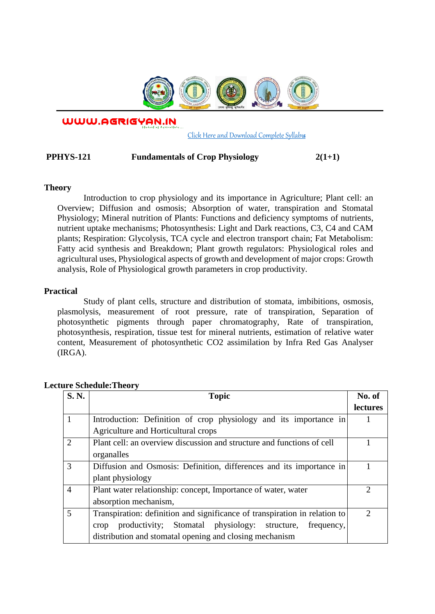

WWW.AGRIGYAN.IN

[Click Here and Download Complete Syllabus](http://agrigyan.in/)

## **PPHYS-121 Fundamentals of Crop Physiology 2(1+1)**

#### **Theory**

 $\overline{a}$ 

Introduction to crop physiology and its importance in Agriculture; Plant cell: an Overview; Diffusion and osmosis; Absorption of water, transpiration and Stomatal Physiology; Mineral nutrition of Plants: Functions and deficiency symptoms of nutrients, nutrient uptake mechanisms; Photosynthesis: Light and Dark reactions, C3, C4 and CAM plants; Respiration: Glycolysis, TCA cycle and electron transport chain; Fat Metabolism: Fatty acid synthesis and Breakdown; Plant growth regulators: Physiological roles and agricultural uses, Physiological aspects of growth and development of major crops: Growth analysis, Role of Physiological growth parameters in crop productivity.

### **Practical**

Study of plant cells, structure and distribution of stomata, imbibitions, osmosis, plasmolysis, measurement of root pressure, rate of transpiration, Separation of photosynthetic pigments through paper chromatography, Rate of transpiration, photosynthesis, respiration, tissue test for mineral nutrients, estimation of relative water content, Measurement of photosynthetic CO2 assimilation by Infra Red Gas Analyser (IRGA).

| <b>S. N.</b>                | <b>Topic</b>                                                               | No. of          |
|-----------------------------|----------------------------------------------------------------------------|-----------------|
|                             |                                                                            | <b>lectures</b> |
|                             | Introduction: Definition of crop physiology and its importance in          |                 |
|                             | Agriculture and Horticultural crops                                        |                 |
| $\mathcal{D}_{\mathcal{A}}$ | Plant cell: an overview discussion and structure and functions of cell     |                 |
|                             | organalles                                                                 |                 |
| 3                           | Diffusion and Osmosis: Definition, differences and its importance in       |                 |
|                             | plant physiology                                                           |                 |
| $\overline{4}$              | Plant water relationship: concept, Importance of water, water              | ာ               |
|                             | absorption mechanism,                                                      |                 |
| 5                           | Transpiration: definition and significance of transpiration in relation to | 2               |
|                             | productivity; Stomatal physiology: structure,<br>frequency,<br>crop        |                 |
|                             | distribution and stomatal opening and closing mechanism                    |                 |

### **Lecture Schedule:Theory**